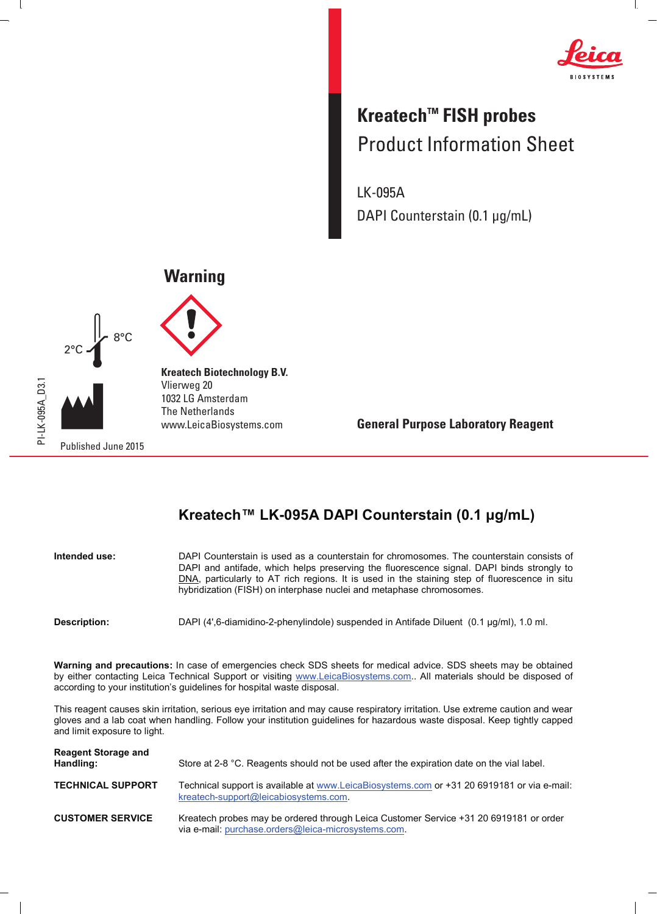

 $\mathbf{I}$ 

## **Kreatech™ FISH probes** Product Information Sheet

LK-095A DAPI Counterstain (0.1 μg/mL)

## **Warning**





 $\overline{1}$ 

**Kreatech Biotechnology B.V.** Vlierweg 20 1032 LG Amsterdam The Netherlands www.LeicaBiosystems.com

**General Purpose Laboratory Reagent**

## Kreatech™ LK-095A DAPI Counterstain (0.1 µg/mL)

| Intended use: | DAPI Counterstain is used as a counterstain for chromosomes. The counterstain consists of<br>DAPI and antifade, which helps preserving the fluorescence signal. DAPI binds strongly to<br>DNA, particularly to AT rich regions. It is used in the staining step of fluorescence in situ<br>hybridization (FISH) on interphase nuclei and metaphase chromosomes. |
|---------------|-----------------------------------------------------------------------------------------------------------------------------------------------------------------------------------------------------------------------------------------------------------------------------------------------------------------------------------------------------------------|
| Description:  | DAPI (4',6-diamidino-2-phenylindole) suspended in Antifade Diluent (0.1 µq/ml), 1.0 ml.                                                                                                                                                                                                                                                                         |

**Warning and precautions:** In case of emergencies check SDS sheets for medical advice. SDS sheets may be obtained by either contacting Leica Technical Support or visiting www.LeicaBiosystems.com.. All materials should be disposed of

according to your institution's guidelines for hospital waste disposal. This reagent causes skin irritation, serious eye irritation and may cause respiratory irritation. Use extreme caution and wear

gloves and a lab coat when handling. Follow your institution guidelines for hazardous waste disposal. Keep tightly capped and limit exposure to light. **Reagent Storage and Handling:** Store at 2-8 °C. Reagents should not be used after the expiration date on the vial label.

| <b>TECHNICAL SUPPORT</b> | Technical support is available at www.LeicaBiosystems.com or +31 20 6919181 or via e-mail:<br>kreatech-support@leicabiosystems.com.          |
|--------------------------|----------------------------------------------------------------------------------------------------------------------------------------------|
| <b>CUSTOMER SERVICE</b>  | Kreatech probes may be ordered through Leica Customer Service +31 20 6919181 or order<br>via e-mail: purchase.orders@leica-microsystems.com. |